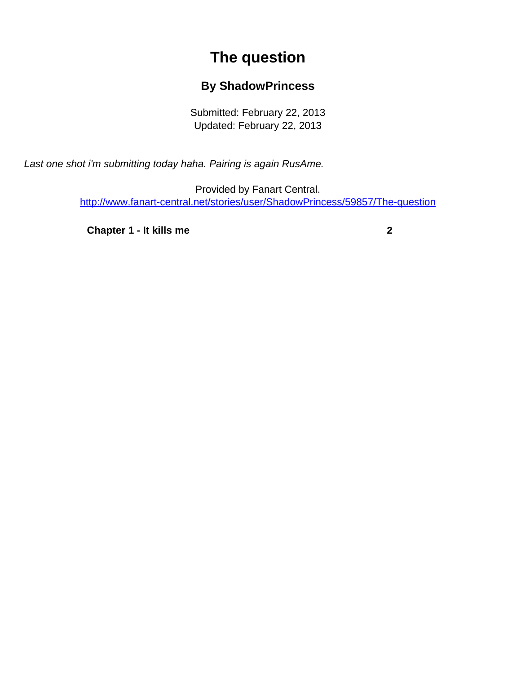## **The question**

## **By ShadowPrincess**

Submitted: February 22, 2013 Updated: February 22, 2013

<span id="page-0-0"></span>Last one shot i'm submitting today haha. Pairing is again RusAme.

Provided by Fanart Central. [http://www.fanart-central.net/stories/user/ShadowPrincess/59857/The-question](#page-0-0)

**[Chapter 1 - It kills me](#page-1-0) [2](#page-1-0)**